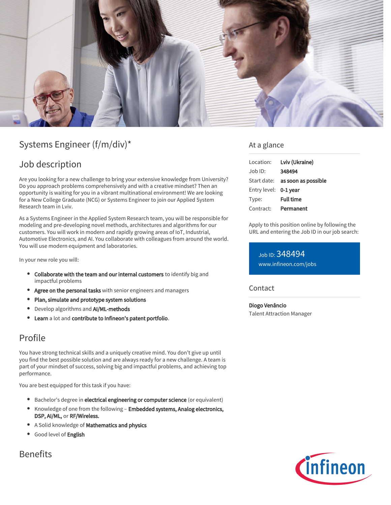

# Systems Engineer (f/m/div)\*

## Job description

Are you looking for a new challenge to bring your extensive knowledge from University? Do you approach problems comprehensively and with a creative mindset? Then an opportunity is waiting for you in a vibrant multinational environment! We are looking for a New College Graduate (NCG) or Systems Engineer to join our Applied System Research team in Lviv.

As a Systems Engineer in the Applied System Research team, you will be responsible for modeling and pre-developing novel methods, architectures and algorithms for our customers. You will work in modern and rapidly growing areas of IoT, Industrial, Automotive Electronics, and AI. You collaborate with colleagues from around the world. You will use modern equipment and laboratories.

In your new role you will:

- Collaborate with the team and our internal customers to identify big and impactful problems
- Agree on the personal tasks with senior engineers and managers
- Plan, simulate and prototype system solutions
- Develop algorithms and AI/ML-methods
- Learn a lot and contribute to Infineon's patent portfolio.

## Profile

You have strong technical skills and a uniquely creative mind. You don't give up until you find the best possible solution and are always ready for a new challenge. A team is part of your mindset of success, solving big and impactful problems, and achieving top performance.

You are best equipped for this task if you have:

- **Bachelor's degree in electrical engineering or computer science** (or equivalent)
- Knowledge of one from the following Embedded systems, Analog electronics, DSP, AI/ML, or RF/Wireless.
- A Solid knowledge of Mathematics and physics
- **Good level of English**

### Benefits

### At a glance

| Location:             | Lviv (Ukraine)                         |
|-----------------------|----------------------------------------|
| Job ID:               | 348494                                 |
|                       | Start date: <b>as soon as possible</b> |
| Entry level: 0-1 year |                                        |
| Type:                 | <b>Full time</b>                       |
| Contract:             | Permanent                              |

Apply to this position online by following the URL and entering the Job ID in our job search:

Job ID: 348494 [www.infineon.com/jobs](https://www.infineon.com/jobs)

### Contact

Diogo Venâncio Talent Attraction Manager